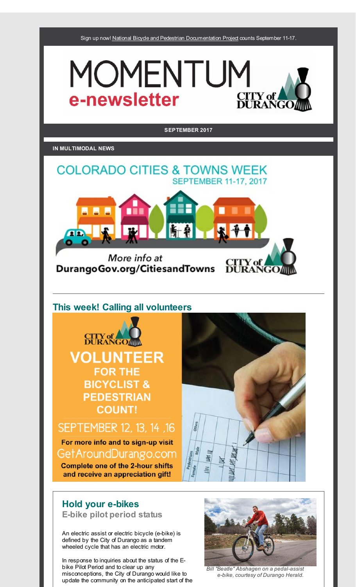Sign up now! National Bicycle and Pedestrian [Documentation](http://r20.rs6.net/tn.jsp?f=001TVIoiEjsWQ--V4mnPo_HpU5fCpw6eMCVHennv0bezUMG12Uzc-j2qr96hnoryB3PLCEn6sFu227aai_1AbJ6pOYXXZDJtvW7x9Ecr3asvBZGred4-vY-_c2qJUIQwpagU3fmiCbrkVDdUw9k3lUrQVw7JfjrmF2I6RdHn5nS6MAHX5hSyF1h5g==&c=&ch=) Project counts September 11-17.





# **Hold your e-bikes**

**E-bike pilot period status**

An electric assist or electric bicycle (e-bike) is defined by the City of Durango as a tandem wheeled cycle that has an electric motor.

In response to inquiries about the status of the Ebike Pilot Period and to clear up any misconceptions, the City of Durango would like to update the community on the anticipated start of the



*Bill "Beatle" Abshagen on a pedal-assist e-bike, courtesy of Durango Herald.*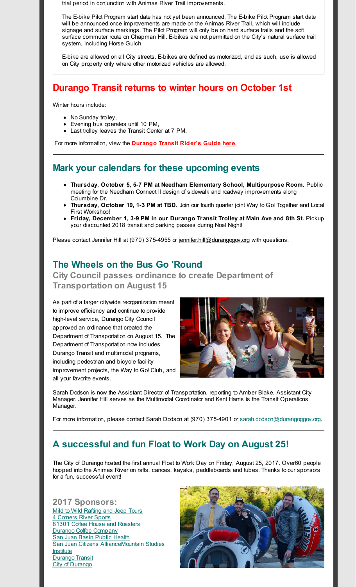trial period in conjunction with Animas River Trail improvements.

The E-bike Pilot Program start date has not yet been announced. The E-bike Pilot Program start date will be announced once improvements are made on the Animas River Trail, which will include signage and surface markings. The Pilot Program will only be on hard surface trails and the soft surface commuter route on Chapman Hill. E-bikes are not permitted on the City's natural surface trail system, including Horse Gulch.

E-bike are allowed on all City streets. E-bikes are defined as motorized, and as such, use is allowed on City property only where other motorized vehicles are allowed.

## **Durango Transit returns to winter hours on October 1st**

Winter hours include:

- No Sunday trolley,
- Evening bus operates until 10 PM,
- Last trolley leaves the Transit Center at 7 PM.

For more information, view the **Durango Transit Rider's Guide [here](http://r20.rs6.net/tn.jsp?f=001TVIoiEjsWQ--V4mnPo_HpU5fCpw6eMCVHennv0bezUMG12Uzc-j2qvajOGHAK9N_Nykbvip13VvWiKA2zPWipR3sY6HuDtFlmr-BdckVDTJCR56-yMuv9qyKK3zTbknLAw75isLq8_cBQCQxqoF0iDku1aBaquDaJRVLjS3f6vbO9JGmSkeLhRmhDWpa-rmDLB4ElNT7fxV70cuQzIUzIw==&c=&ch=)**.

## **Mark your calendars for these upcoming events**

- **Thursday, October 5, 5-7 PM at Needham Elementary School, Multipurpose Room.** Public meeting for the Needham Connect II design of sidewalk and roadway improvements along Columbine Dr.
- **Thursday, October 19, 1-3 PM at TBD.** Join our fourth quarter joint Way to Go! Together and Local First Workshop!
- **Friday, December 1, 3-9 PM in our Durango Transit Trolley at Main Ave and 8th St.** Pickup your discounted 2018 transit and parking passes during Noel Night!

Please contact Jennifer Hill at (970) 375-4955 or [jennifer.hill@durangogov.org](mailto:jennifer.hill@durangogov.org) with questions.

## **The Wheels on the Bus Go 'Round**

**City Council passes ordinance to create Department of Transportation on August 15**

As part of a larger citywide reorganization meant to improve efficiency and continue to provide high-level service, Durango City Council approved an ordinance that created the Department of Transportation on August 15. The Department of Transportation now includes Durango Transit and multimodal programs, including pedestrian and bicycle facility improvement projects, the Way to Go! Club, and all your favorite events.



Sarah Dodson is now the Assistant Director of Transportation, reporting to Amber Blake, Assistant City Manager. Jennifer Hill serves as the Multimodal Coordinator and Kent Harris is the Transit Operations Manager.

For more information, please contact Sarah Dodson at (970) 375-4901 or [sarah.dodson@durangoggov.org](mailto:sarah.dodson@durangoggov.org).

## **A successful and fun Float to Work Day on August 25!**

The City of Durango hosted the first annual Float to Work Day on Friday, August 25, 2017. Over60 people hopped into the Animas River on rafts, canoes, kayaks, paddleboards and tubes. Thanks to our sponsors for a fun, successful event!

**2017 Sponsors:** Mild to Wild [Rafting](http://r20.rs6.net/tn.jsp?f=001TVIoiEjsWQ--V4mnPo_HpU5fCpw6eMCVHennv0bezUMG12Uzc-j2qloSClkevw_3pIYkNWq8BIaqUPpoHXwdrupt71mtTnMakWnbfVf5oskeHsW8W6ZIXad5O9FfZvM_pd495uCvJXQ4V8wD6WkNuTw_2mUiO-QzEnE-ZG0U1NOyEUlHlFX9UQ==&c=&ch=) and Jeep Tours 4 [Corners](http://r20.rs6.net/tn.jsp?f=001TVIoiEjsWQ--V4mnPo_HpU5fCpw6eMCVHennv0bezUMG12Uzc-j2qgbQ5EeOnMXLdIxWazFI5W13_RnjDVWZOQ4X29v4YG6fx0eO6cO0FWwGY_VIQlDi4LHCS7bdtS0WNByYjAiYshGRDkZ1OC-k7TYFUno1Qk0IMJRD1mZyt8hDQ4DL5qkEKQ==&c=&ch=) River Sports 81301 Coffee House and [Roasters](http://r20.rs6.net/tn.jsp?f=001TVIoiEjsWQ--V4mnPo_HpU5fCpw6eMCVHennv0bezUMG12Uzc-j2qloSClkevw_3B_2WfFYFG2oFrqIX4Si-JfbOlaTm5xO7hcS_9OTFoNPPhWjF6te0lAMzXnN8sgEuAKeDIx1aV5jOlBjTA2L8ez_m4e1b-XXz9WKjWmsOlbVJ25cwmUdznA==&c=&ch=) Durango Coffee [Company](http://r20.rs6.net/tn.jsp?f=001TVIoiEjsWQ--V4mnPo_HpU5fCpw6eMCVHennv0bezUMG12Uzc-j2qgbQ5EeOnMXLgxoUIn1V2NKnSOI_h9aRhi5mnmuz7Gf5lu7g8uvY1i4Xf6P9jCGc0xSX4oN7KEFVd6TCGqEqUjdgbrdtYMTh7352EFmWMhDfQBJam7GL2X6wokapj8ZvNA==&c=&ch=) San Juan Basin [Public](http://r20.rs6.net/tn.jsp?f=001TVIoiEjsWQ--V4mnPo_HpU5fCpw6eMCVHennv0bezUMG12Uzc-j2qloSClkevw_3orzGIR-YulndcG1s36AoxwYdOKoiL7PugUHSSuXcEHVFmso0jmmR9xQydMoDIb6Aew0a5UwB_NLS14CTHhEvssIwgIucNfRJIpmFqpKg7aBDwf8k6YUhxQ==&c=&ch=) Health San Juan [Citizens](http://r20.rs6.net/tn.jsp?f=001TVIoiEjsWQ--V4mnPo_HpU5fCpw6eMCVHennv0bezUMG12Uzc-j2qloSClkevw_3BuNCqelvjc52QBWesa7MDDexqEIJ5la4mwwzhhJJ7BXBd-OH-vTsjlDcqQ0sHyvjTidWCpLirTL-qFmFRPaqGoV7aqvCzrltyHhcFLvEi803G81FSygG8w==&c=&ch=) [AllianceMountain](http://r20.rs6.net/tn.jsp?f=001TVIoiEjsWQ--V4mnPo_HpU5fCpw6eMCVHennv0bezUMG12Uzc-j2qloSClkevw_3u33Pbv-C0Sw83Vc1Kj4MKeCCYvXSjtMn1DbaAge-zQPYafShBtjamVA-LOKFCl5rLuvzXGCxTYFokpcpmpONJ1d3ozxLlVyh3SsTIGEV7r2zOAX-9c-zrw==&c=&ch=) Studies **Institute** [Durango](http://r20.rs6.net/tn.jsp?f=001TVIoiEjsWQ--V4mnPo_HpU5fCpw6eMCVHennv0bezUMG12Uzc-j2qnOBXXQveXIp9R5RVq1koqfSdPw55sF_plWWDGQU1Pl0p-ANAFhWUTgqKsQ1WCyRRw4ZEuUucHZjQpU-s-rHYLaaDnwJKHNWLYE8CWHTJnVkRxiEsiY5BV9Lm892-sFM9meMJwgZWf3qspN8KL4UBQI=&c=&ch=) Transit City of [Durango](http://r20.rs6.net/tn.jsp?f=001TVIoiEjsWQ--V4mnPo_HpU5fCpw6eMCVHennv0bezUMG12Uzc-j2qvjdj2RlZzcV2WcMY6dTpJR75qgwovq_nYuc_X75XGENrfspvqJgAbjVXTxmM__YMjbiSSchTjyY84sej6E35BfwlLRVy2VJDHM8m-Qx6iLucoQlb52rmkA=&c=&ch=)

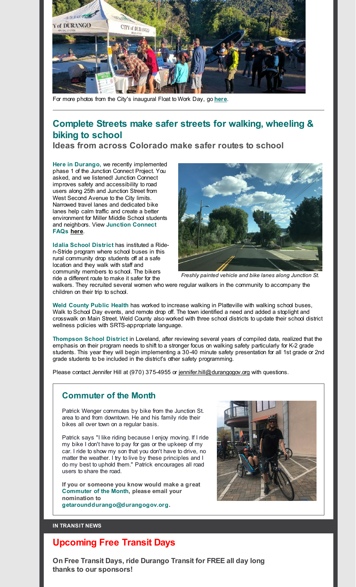

For more photos from the City's inaugural Float to Work Day, go **[here](http://r20.rs6.net/tn.jsp?f=001TVIoiEjsWQ--V4mnPo_HpU5fCpw6eMCVHennv0bezUMG12Uzc-j2qloSClkevw_3nwQzATzRM_kXiqI8C3QtdbIFmttMzKqCi8p_3OjzPYtZ7OReXu7Gv08cwChwsucG5l4bLuG88C4ljRM4RepHeCqlg1yd1rhbiYzwbIgt7lZCVg_vyXrKpdogfRRgUMXyX39Sd9ehBiEcAB6ZSzBFHxkahsYOylxz7eApciQF-rpJ5VgrueyMEwZrEMba4MZkSs1-oPcOY2L6SKnKHj5GpA==&c=&ch=)**.

## **Complete Streets make safer streets for walking, wheeling & biking to school**

**Ideas from across Colorado make safer routes to school**

**Here in Durango,** we recently implemented phase 1 of the Junction Connect Project. You asked, and we listened! Junction Connect improves safety and accessibility to road users along 25th and Junction Street from West Second Avenue to the City limits. Narrowed travel lanes and dedicated bike lanes help calm traffic and create a better environment for Miller Middle School students and neighbors. View **Junction Connect FAQs [here](http://r20.rs6.net/tn.jsp?f=001TVIoiEjsWQ--V4mnPo_HpU5fCpw6eMCVHennv0bezUMG12Uzc-j2qloSClkevw_3b6bRvQ_gpKj7nBA8akEsiFjAtIm_Ao2tqF1G-zXj-AhSvNQPZcEHdyyndnbKdt_XeFUc9lrSgzas6WIT2hkhAVo03ogY7VYluAszjey8oV-pmu6PCxlsFkXWZjpit1opEkvcDN5xsAZhNkeAePH13A==&c=&ch=)**.

**Idalia School District** has instituted a Riden-Stride program where school buses in this rural community drop students off at a safe location and they walk with staff and community members to school. The bikers ride a different route to make it safer for the



*Freshly painted vehicle and bike lanes along Junction St.*

walkers. They recruited several women who were regular walkers in the community to accompany the children on their trip to school.

**Weld County Public Health** has worked to increase walking in Platteville with walking school buses, Walk to School Day events, and remote drop off. The town identified a need and added a stoplight and crosswalk on Main Street. Weld County also worked with three school districts to update their school district wellness policies with SRTS-appropriate language.

**Thompson School District** in Loveland, after reviewing several years of compiled data, realized that the emphasis on their program needs to shift to a stronger focus on walking safety particularly for K-2 grade students. This year they will begin implementing a 30-40 minute safety presentation for all 1st grade or 2nd grade students to be included in the district's other safety programming.

Please contact Jennifer Hill at (970) 375-4955 or [jennifer.hill@durangogov.org](mailto:jennifer.hill@durangogov.org) with questions.

## **Commuter of the Month**

Patrick Wenger commutes by bike from the Junction St. area to and from downtown. He and his family ride their bikes all over town on a regular basis.

Patrick says "I like riding because I enjoy moving. If I ride my bike I don't have to pay for gas or the upkeep of my car. I ride to show my son that you don't have to drive, no matter the weather. I try to live by these principles and I do my best to uphold them." Patrick encourages all road users to share the road.

**If you or someone you know would make a great Commuter of the Month, please email your nomination to [getarounddurango@durangogov.org](mailto:getarounddurango@durangogov.org).**



#### **IN TRANSIT NEWS**

## **Upcoming Free Transit Days**

**On Free Transit Days, ride Durango Transit for FREE all day long thanks to our sponsors!**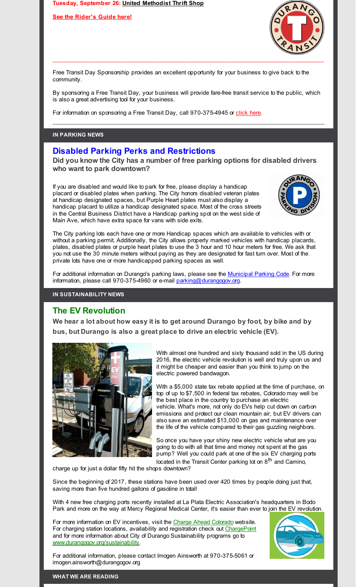**Tuesday, September 26: United [Methodist](http://r20.rs6.net/tn.jsp?f=001TVIoiEjsWQ--V4mnPo_HpU5fCpw6eMCVHennv0bezUMG12Uzc-j2qoozZlQNteiEcNQK1JahtxLR5QR98im9oE9u1QvdhppSbObW3J8ADNrOvhRqYMfWXr8pE_KfKWEHPSuKm-CvNblCrILcyWkuSCzuMccCMimeJOmoJ4UkxI0yqqibwcdaPLQhu4M2AIDW8BH8wU1jzoMZXXoM86QU4xq6OZlUw5uQ6HUiSp0YXE0=&c=&ch=) Thrift Shop**

**See the [Rider's](http://r20.rs6.net/tn.jsp?f=001TVIoiEjsWQ--V4mnPo_HpU5fCpw6eMCVHennv0bezUMG12Uzc-j2qnCdUH7DhSJXTaDTmgFYpbacrjqyVdfcB0TO-BXQNv0X33_GH90n_VQ9Jt3BbrImGnsXbwm58oJGPj_Nejo-MZWlKX9NBtxTgqZljWC2dEZ7ALtkpDyGY9m17tWVk2fT5IXHFRyLuZ8WBtXjAc6A724UqTf94_G6R2-T5SWpZVuu5Z75yM1v8ocW4cJRcksYPx0xl1P8o-Mt&c=&ch=) Guide here!**



Free Transit Day Sponsorship provides an excellent opportunity for your business to give back to the community.

By sponsoring a Free Transit Day, your business will provide fare-free transit service to the public, which is also a great advertising tool for your business.

For information on sponsoring a Free Transit Day, call 970-375-4945 or [click](http://r20.rs6.net/tn.jsp?f=001TVIoiEjsWQ--V4mnPo_HpU5fCpw6eMCVHennv0bezUMG12Uzc-j2qj8-UlMypX8o8kymVKP8Ba3b17h-PNYmvY8ssPwFf4Tq9YJp3IwY1SSiu-I3-2GZHQ2AyevDyp81hOGrGHMJim5lbVuXwp9rboby3tknrmg_jWtQMIb6PTaDTQVo7BGkpYv0apk0OTrOvGN9kP7HNlFAsBHo5T9hLg==&c=&ch=) here.

#### **IN PARKING NEWS**

#### **Disabled Parking Perks and Restrictions**

**Did you know the City has a number of free parking options for disabled drivers who want to park downtown?**

If you are disabled and would like to park for free, please display a handicap placard or disabled plates when parking. The City honors disabled veteran plates at handicap designated spaces, but Purple Heart plates must also display a handicap placard to utilize a handicap designated space. Most of the cross streets in the Central Business District have a Handicap parking spot on the west side of Main Ave, which have extra space for vans with side exits.



The City parking lots each have one or more Handicap spaces which are available to vehicles with or without a parking permit. Additionally, the City allows properly marked vehicles with handicap placards, plates, disabled plates or purple heart plates to use the 3 hour and 10 hour meters for free. We ask that you not use the 30 minute meters without paying as they are designated for fast turn over. Most of the private lots have one or more handicapped parking spaces as well.

For additional information on Durango's parking laws, please see the [Municipal](http://r20.rs6.net/tn.jsp?f=001TVIoiEjsWQ--V4mnPo_HpU5fCpw6eMCVHennv0bezUMG12Uzc-j2qrFk37DwV46jrtIZ1NNW-nt8uPrnjoFcXwKNiJX5Hp6_UvIdUq_oTZ_Bla7kNyRWh6M7UHRrefKHc1LBzCeVb12GQRxDBHI3j6jq8aJaLhIQZ21bfKKwkPZMqMkbW25HyH7fM31OqBgWS_lWLJZFOJEFc5BKFh5z7dB85vAkGIfbtPx3l2GghPv0PImPL2H8oUbNjo8NhIm7jT475lI8iuN4p3AzpYa4eWJrTWZ3Eeg0&c=&ch=) Parking Code. For more information, please call 970-375-4960 or e-mail [parking@durangogov.or](mailto:parking@durangogov.org)g.

#### **IN SUSTAINABILITY NEWS**

### **The EV Revolution**

**We hear a lot about how easy it is to get around Durango by foot, by bike and by bus, but Durango is also a great place to drive an electric vehicle (EV).**



With almost one hundred and sixty thousand sold in the US during 2016, the electric vehicle revolution is well and truly upon us and it might be cheaper and easier than you think to jump on the electric powered bandwagon.

With a \$5,000 state tax rebate applied at the time of purchase, on top of up to \$7,500 in federal tax rebates, Colorado may well be the best place in the country to purchase an electric vehicle. What's more, not only do EVs help cut down on carbon emissions and protect our clean mountain air, but EV drivers can also save an estimated \$13,000 on gas and maintenance over the life of the vehicle compared to their gas guzzling neighbors.

So once you have your shiny new electric vehicle what are you going to do with all that time and money not spent at the gas pump? Well you could park at one of the six EV charging ports located in the Transit Center parking lot on 8<sup>th</sup> and Camino,

charge up for just a dollar fifty hit the shops downtown?

Since the beginning of 2017, these stations have been used over 420 times by people doing just that, saving more than five hundred gallons of gasoline in total!

With 4 new free charging ports recently installed at La Plata Electric Association's headquarters in Bodo Park and more on the way at Mercy Regional Medical Center, it's easier than ever to join the EV revolution.

For more information on EV incentives, visit the Charge Ahead [Colorado](http://r20.rs6.net/tn.jsp?f=001TVIoiEjsWQ--V4mnPo_HpU5fCpw6eMCVHennv0bezUMG12Uzc-j2qloSClkevw_3650EqczPDQwc1U0rnDIWY3dI41oo3AsTiIqHRumAtJ6DgS_RAzR2Uce6TNADnhUnPbI_BX7Ym59IflcQ3DBDYC-QyohtJ1TMb-ANHph7hnyQGdvmw-fDAAoFF1eUpx48&c=&ch=) website. For charging station locations, availability and registration check out [ChargePoint](http://r20.rs6.net/tn.jsp?f=001TVIoiEjsWQ--V4mnPo_HpU5fCpw6eMCVHennv0bezUMG12Uzc-j2qloSClkevw_3AlbtGNalpcGF4elO61hKBB8rYZVSMHFBFJvQGd1H7w7FphuIzBf1HjTbNxUF3gtQ7tdBOJIJ_NOI2MgomVX_u6UIZS22ZusCYalvBxGN_GbSKuDVRCGjvA==&c=&ch=) and for more information about City of Durango Sustainability programs go to [www.durangogov.org/sustainability](http://r20.rs6.net/tn.jsp?f=001TVIoiEjsWQ--V4mnPo_HpU5fCpw6eMCVHennv0bezUMG12Uzc-j2qloSClkevw_3Wg6k6SzJHIeKzqu1NhBw-8CtjcVABtCIOL1wzDBPMhmcdnLP9myX1oC1z16z27koUvEj7MJjwlHbCns84wUFvSPkN8N8ZS08Wjf745ApnHw8JZB0v2ELKSZl_ImdgAIb&c=&ch=).



For additional information, please contact Imogen Ainsworth at 970-375-5061 or imogen.ainsworth@durangogov.org

#### **WHAT WE ARE READING**